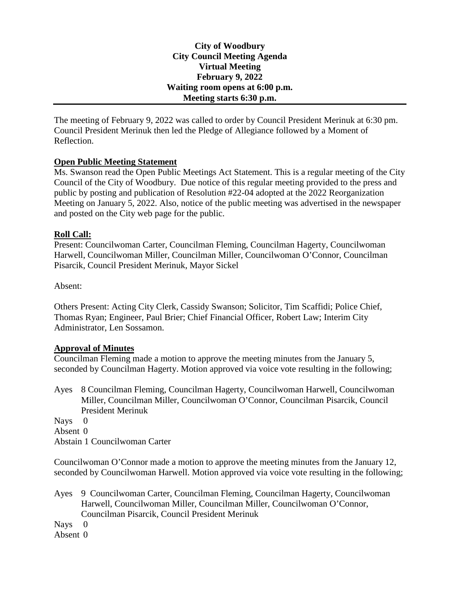**City of Woodbury City Council Meeting Agenda Virtual Meeting February 9, 2022 Waiting room opens at 6:00 p.m. Meeting starts 6:30 p.m.**

The meeting of February 9, 2022 was called to order by Council President Merinuk at 6:30 pm. Council President Merinuk then led the Pledge of Allegiance followed by a Moment of Reflection.

### **Open Public Meeting Statement**

Ms. Swanson read the Open Public Meetings Act Statement. This is a regular meeting of the City Council of the City of Woodbury. Due notice of this regular meeting provided to the press and public by posting and publication of Resolution #22-04 adopted at the 2022 Reorganization Meeting on January 5, 2022. Also, notice of the public meeting was advertised in the newspaper and posted on the City web page for the public.

### **Roll Call:**

Present: Councilwoman Carter, Councilman Fleming, Councilman Hagerty, Councilwoman Harwell, Councilwoman Miller, Councilman Miller, Councilwoman O'Connor, Councilman Pisarcik, Council President Merinuk, Mayor Sickel

Absent:

Others Present: Acting City Clerk, Cassidy Swanson; Solicitor, Tim Scaffidi; Police Chief, Thomas Ryan; Engineer, Paul Brier; Chief Financial Officer, Robert Law; Interim City Administrator, Len Sossamon.

### **Approval of Minutes**

Councilman Fleming made a motion to approve the meeting minutes from the January 5, seconded by Councilman Hagerty. Motion approved via voice vote resulting in the following;

Ayes 8 Councilman Fleming, Councilman Hagerty, Councilwoman Harwell, Councilwoman Miller, Councilman Miller, Councilwoman O'Connor, Councilman Pisarcik, Council President Merinuk

Nays 0

Absent 0

Abstain 1 Councilwoman Carter

Councilwoman O'Connor made a motion to approve the meeting minutes from the January 12, seconded by Councilwoman Harwell. Motion approved via voice vote resulting in the following;

Ayes 9 Councilwoman Carter, Councilman Fleming, Councilman Hagerty, Councilwoman Harwell, Councilwoman Miller, Councilman Miller, Councilwoman O'Connor, Councilman Pisarcik, Council President Merinuk

Nays 0

Absent 0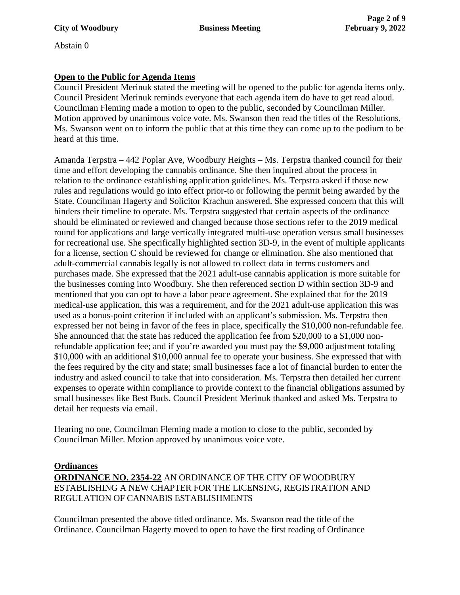Abstain 0

## **Open to the Public for Agenda Items**

Council President Merinuk stated the meeting will be opened to the public for agenda items only. Council President Merinuk reminds everyone that each agenda item do have to get read aloud. Councilman Fleming made a motion to open to the public, seconded by Councilman Miller. Motion approved by unanimous voice vote. Ms. Swanson then read the titles of the Resolutions. Ms. Swanson went on to inform the public that at this time they can come up to the podium to be heard at this time.

Amanda Terpstra – 442 Poplar Ave, Woodbury Heights – Ms. Terpstra thanked council for their time and effort developing the cannabis ordinance. She then inquired about the process in relation to the ordinance establishing application guidelines. Ms. Terpstra asked if those new rules and regulations would go into effect prior-to or following the permit being awarded by the State. Councilman Hagerty and Solicitor Krachun answered. She expressed concern that this will hinders their timeline to operate. Ms. Terpstra suggested that certain aspects of the ordinance should be eliminated or reviewed and changed because those sections refer to the 2019 medical round for applications and large vertically integrated multi-use operation versus small businesses for recreational use. She specifically highlighted section 3D-9, in the event of multiple applicants for a license, section C should be reviewed for change or elimination. She also mentioned that adult-commercial cannabis legally is not allowed to collect data in terms customers and purchases made. She expressed that the 2021 adult-use cannabis application is more suitable for the businesses coming into Woodbury. She then referenced section D within section 3D-9 and mentioned that you can opt to have a labor peace agreement. She explained that for the 2019 medical-use application, this was a requirement, and for the 2021 adult-use application this was used as a bonus-point criterion if included with an applicant's submission. Ms. Terpstra then expressed her not being in favor of the fees in place, specifically the \$10,000 non-refundable fee. She announced that the state has reduced the application fee from \$20,000 to a \$1,000 nonrefundable application fee; and if you're awarded you must pay the \$9,000 adjustment totaling \$10,000 with an additional \$10,000 annual fee to operate your business. She expressed that with the fees required by the city and state; small businesses face a lot of financial burden to enter the industry and asked council to take that into consideration. Ms. Terpstra then detailed her current expenses to operate within compliance to provide context to the financial obligations assumed by small businesses like Best Buds. Council President Merinuk thanked and asked Ms. Terpstra to detail her requests via email.

Hearing no one, Councilman Fleming made a motion to close to the public, seconded by Councilman Miller. Motion approved by unanimous voice vote.

## **Ordinances**

**ORDINANCE NO. 2354-22** AN ORDINANCE OF THE CITY OF WOODBURY ESTABLISHING A NEW CHAPTER FOR THE LICENSING, REGISTRATION AND REGULATION OF CANNABIS ESTABLISHMENTS

Councilman presented the above titled ordinance. Ms. Swanson read the title of the Ordinance. Councilman Hagerty moved to open to have the first reading of Ordinance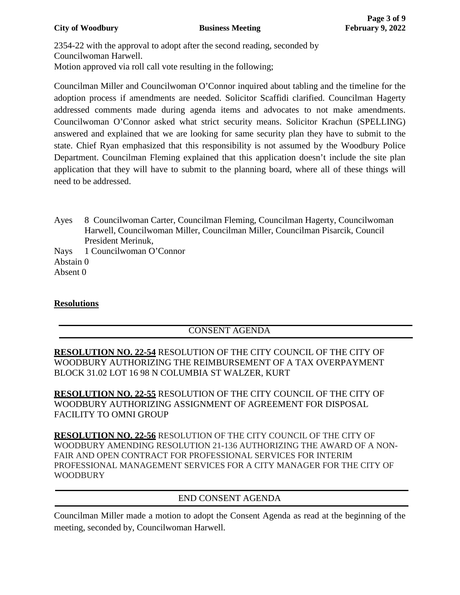2354-22 with the approval to adopt after the second reading, seconded by Councilwoman Harwell. Motion approved via roll call vote resulting in the following;

Councilman Miller and Councilwoman O'Connor inquired about tabling and the timeline for the adoption process if amendments are needed. Solicitor Scaffidi clarified. Councilman Hagerty addressed comments made during agenda items and advocates to not make amendments. Councilwoman O'Connor asked what strict security means. Solicitor Krachun (SPELLING) answered and explained that we are looking for same security plan they have to submit to the state. Chief Ryan emphasized that this responsibility is not assumed by the Woodbury Police Department. Councilman Fleming explained that this application doesn't include the site plan application that they will have to submit to the planning board, where all of these things will need to be addressed.

Ayes 8 Councilwoman Carter, Councilman Fleming, Councilman Hagerty, Councilwoman Harwell, Councilwoman Miller, Councilman Miller, Councilman Pisarcik, Council President Merinuk,

Nays 1 Councilwoman O'Connor Abstain 0 Absent 0

## **Resolutions**

# CONSENT AGENDA

**RESOLUTION NO. 22-54** RESOLUTION OF THE CITY COUNCIL OF THE CITY OF WOODBURY AUTHORIZING THE REIMBURSEMENT OF A TAX OVERPAYMENT BLOCK 31.02 LOT 16 98 N COLUMBIA ST WALZER, KURT

**RESOLUTION NO. 22-55** RESOLUTION OF THE CITY COUNCIL OF THE CITY OF WOODBURY AUTHORIZING ASSIGNMENT OF AGREEMENT FOR DISPOSAL FACILITY TO OMNI GROUP

**RESOLUTION NO. 22-56** RESOLUTION OF THE CITY COUNCIL OF THE CITY OF WOODBURY AMENDING RESOLUTION 21-136 AUTHORIZING THE AWARD OF A NON-FAIR AND OPEN CONTRACT FOR PROFESSIONAL SERVICES FOR INTERIM PROFESSIONAL MANAGEMENT SERVICES FOR A CITY MANAGER FOR THE CITY OF WOODBURY

## END CONSENT AGENDA

Councilman Miller made a motion to adopt the Consent Agenda as read at the beginning of the meeting, seconded by, Councilwoman Harwell.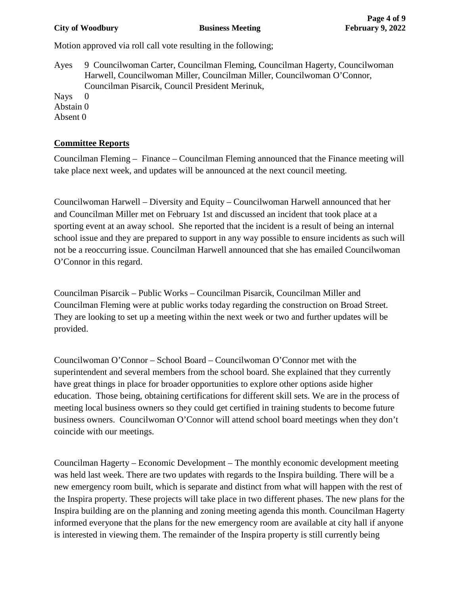### **City of Woodbury 6 2022 Business Meeting 6 2022 February 9, 2022**

Motion approved via roll call vote resulting in the following;

Ayes 9 Councilwoman Carter, Councilman Fleming, Councilman Hagerty, Councilwoman Harwell, Councilwoman Miller, Councilman Miller, Councilwoman O'Connor, Councilman Pisarcik, Council President Merinuk,

Nays 0 Abstain 0 Absent 0

## **Committee Reports**

Councilman Fleming – Finance – Councilman Fleming announced that the Finance meeting will take place next week, and updates will be announced at the next council meeting.

Councilwoman Harwell – Diversity and Equity – Councilwoman Harwell announced that her and Councilman Miller met on February 1st and discussed an incident that took place at a sporting event at an away school. She reported that the incident is a result of being an internal school issue and they are prepared to support in any way possible to ensure incidents as such will not be a reoccurring issue. Councilman Harwell announced that she has emailed Councilwoman O'Connor in this regard.

Councilman Pisarcik – Public Works – Councilman Pisarcik, Councilman Miller and Councilman Fleming were at public works today regarding the construction on Broad Street. They are looking to set up a meeting within the next week or two and further updates will be provided.

Councilwoman O'Connor – School Board – Councilwoman O'Connor met with the superintendent and several members from the school board. She explained that they currently have great things in place for broader opportunities to explore other options aside higher education. Those being, obtaining certifications for different skill sets. We are in the process of meeting local business owners so they could get certified in training students to become future business owners. Councilwoman O'Connor will attend school board meetings when they don't coincide with our meetings.

Councilman Hagerty – Economic Development – The monthly economic development meeting was held last week. There are two updates with regards to the Inspira building. There will be a new emergency room built, which is separate and distinct from what will happen with the rest of the Inspira property. These projects will take place in two different phases. The new plans for the Inspira building are on the planning and zoning meeting agenda this month. Councilman Hagerty informed everyone that the plans for the new emergency room are available at city hall if anyone is interested in viewing them. The remainder of the Inspira property is still currently being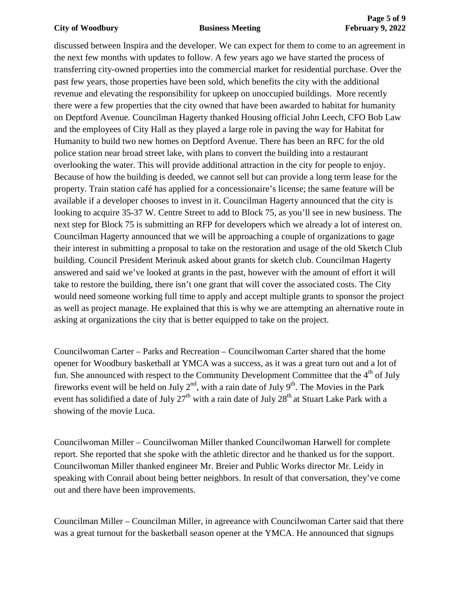### **City of Woodbury Business Meeting <b>February 9, 2022**

discussed between Inspira and the developer. We can expect for them to come to an agreement in the next few months with updates to follow. A few years ago we have started the process of transferring city-owned properties into the commercial market for residential purchase. Over the past few years, those properties have been sold, which benefits the city with the additional revenue and elevating the responsibility for upkeep on unoccupied buildings. More recently there were a few properties that the city owned that have been awarded to habitat for humanity on Deptford Avenue. Councilman Hagerty thanked Housing official John Leech, CFO Bob Law and the employees of City Hall as they played a large role in paving the way for Habitat for Humanity to build two new homes on Deptford Avenue. There has been an RFC for the old police station near broad street lake, with plans to convert the building into a restaurant overlooking the water. This will provide additional attraction in the city for people to enjoy. Because of how the building is deeded, we cannot sell but can provide a long term lease for the property. Train station café has applied for a concessionaire's license; the same feature will be available if a developer chooses to invest in it. Councilman Hagerty announced that the city is looking to acquire 35-37 W. Centre Street to add to Block 75, as you'll see in new business. The next step for Block 75 is submitting an RFP for developers which we already a lot of interest on. Councilman Hagerty announced that we will be approaching a couple of organizations to gage their interest in submitting a proposal to take on the restoration and usage of the old Sketch Club building. Council President Merinuk asked about grants for sketch club. Councilman Hagerty answered and said we've looked at grants in the past, however with the amount of effort it will take to restore the building, there isn't one grant that will cover the associated costs. The City would need someone working full time to apply and accept multiple grants to sponsor the project as well as project manage. He explained that this is why we are attempting an alternative route in asking at organizations the city that is better equipped to take on the project.

Councilwoman Carter – Parks and Recreation – Councilwoman Carter shared that the home opener for Woodbury basketball at YMCA was a success, as it was a great turn out and a lot of fun. She announced with respect to the Community Development Committee that the  $4<sup>th</sup>$  of July fireworks event will be held on July  $2<sup>nd</sup>$ , with a rain date of July 9<sup>th</sup>. The Movies in the Park event has solidified a date of July  $27<sup>th</sup>$  with a rain date of July  $28<sup>th</sup>$  at Stuart Lake Park with a showing of the movie Luca.

Councilwoman Miller – Councilwoman Miller thanked Councilwoman Harwell for complete report. She reported that she spoke with the athletic director and he thanked us for the support. Councilwoman Miller thanked engineer Mr. Breier and Public Works director Mr. Leidy in speaking with Conrail about being better neighbors. In result of that conversation, they've come out and there have been improvements.

Councilman Miller – Councilman Miller, in agreeance with Councilwoman Carter said that there was a great turnout for the basketball season opener at the YMCA. He announced that signups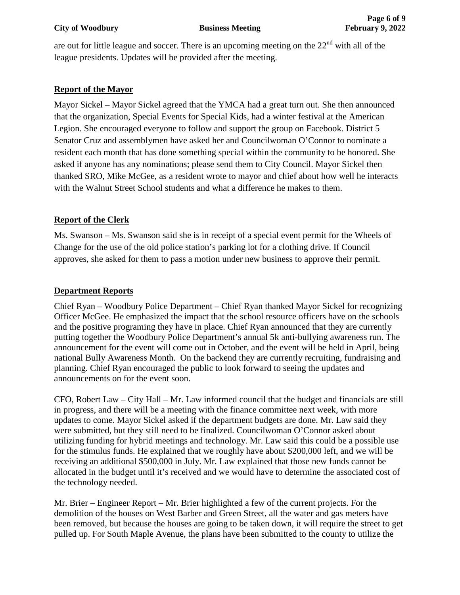### **City of Woodbury 6. In the Business Meeting February 9, 2022**

are out for little league and soccer. There is an upcoming meeting on the  $22<sup>nd</sup>$  with all of the league presidents. Updates will be provided after the meeting.

## **Report of the Mayor**

Mayor Sickel – Mayor Sickel agreed that the YMCA had a great turn out. She then announced that the organization, Special Events for Special Kids, had a winter festival at the American Legion. She encouraged everyone to follow and support the group on Facebook. District 5 Senator Cruz and assemblymen have asked her and Councilwoman O'Connor to nominate a resident each month that has done something special within the community to be honored. She asked if anyone has any nominations; please send them to City Council. Mayor Sickel then thanked SRO, Mike McGee, as a resident wrote to mayor and chief about how well he interacts with the Walnut Street School students and what a difference he makes to them.

### **Report of the Clerk**

Ms. Swanson – Ms. Swanson said she is in receipt of a special event permit for the Wheels of Change for the use of the old police station's parking lot for a clothing drive. If Council approves, she asked for them to pass a motion under new business to approve their permit.

## **Department Reports**

Chief Ryan – Woodbury Police Department – Chief Ryan thanked Mayor Sickel for recognizing Officer McGee. He emphasized the impact that the school resource officers have on the schools and the positive programing they have in place. Chief Ryan announced that they are currently putting together the Woodbury Police Department's annual 5k anti-bullying awareness run. The announcement for the event will come out in October, and the event will be held in April, being national Bully Awareness Month. On the backend they are currently recruiting, fundraising and planning. Chief Ryan encouraged the public to look forward to seeing the updates and announcements on for the event soon.

CFO, Robert Law – City Hall – Mr. Law informed council that the budget and financials are still in progress, and there will be a meeting with the finance committee next week, with more updates to come. Mayor Sickel asked if the department budgets are done. Mr. Law said they were submitted, but they still need to be finalized. Councilwoman O'Connor asked about utilizing funding for hybrid meetings and technology. Mr. Law said this could be a possible use for the stimulus funds. He explained that we roughly have about \$200,000 left, and we will be receiving an additional \$500,000 in July. Mr. Law explained that those new funds cannot be allocated in the budget until it's received and we would have to determine the associated cost of the technology needed.

Mr. Brier – Engineer Report – Mr. Brier highlighted a few of the current projects. For the demolition of the houses on West Barber and Green Street, all the water and gas meters have been removed, but because the houses are going to be taken down, it will require the street to get pulled up. For South Maple Avenue, the plans have been submitted to the county to utilize the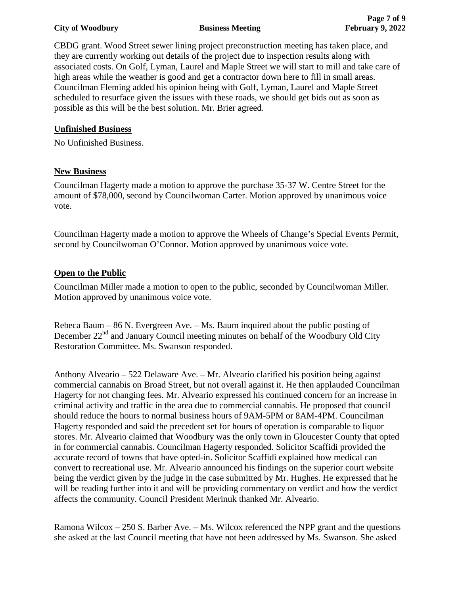### **City of Woodbury 6 2022 Business Meeting 6 2022 February 9, 2022**

CBDG grant. Wood Street sewer lining project preconstruction meeting has taken place, and they are currently working out details of the project due to inspection results along with associated costs. On Golf, Lyman, Laurel and Maple Street we will start to mill and take care of high areas while the weather is good and get a contractor down here to fill in small areas. Councilman Fleming added his opinion being with Golf, Lyman, Laurel and Maple Street scheduled to resurface given the issues with these roads, we should get bids out as soon as possible as this will be the best solution. Mr. Brier agreed.

### **Unfinished Business**

No Unfinished Business.

## **New Business**

Councilman Hagerty made a motion to approve the purchase 35-37 W. Centre Street for the amount of \$78,000, second by Councilwoman Carter. Motion approved by unanimous voice vote.

Councilman Hagerty made a motion to approve the Wheels of Change's Special Events Permit, second by Councilwoman O'Connor. Motion approved by unanimous voice vote.

### **Open to the Public**

Councilman Miller made a motion to open to the public, seconded by Councilwoman Miller. Motion approved by unanimous voice vote.

Rebeca Baum – 86 N. Evergreen Ave. – Ms. Baum inquired about the public posting of December  $22<sup>nd</sup>$  and January Council meeting minutes on behalf of the Woodbury Old City Restoration Committee. Ms. Swanson responded.

Anthony Alveario – 522 Delaware Ave. – Mr. Alveario clarified his position being against commercial cannabis on Broad Street, but not overall against it. He then applauded Councilman Hagerty for not changing fees. Mr. Alveario expressed his continued concern for an increase in criminal activity and traffic in the area due to commercial cannabis. He proposed that council should reduce the hours to normal business hours of 9AM-5PM or 8AM-4PM. Councilman Hagerty responded and said the precedent set for hours of operation is comparable to liquor stores. Mr. Alveario claimed that Woodbury was the only town in Gloucester County that opted in for commercial cannabis. Councilman Hagerty responded. Solicitor Scaffidi provided the accurate record of towns that have opted-in. Solicitor Scaffidi explained how medical can convert to recreational use. Mr. Alveario announced his findings on the superior court website being the verdict given by the judge in the case submitted by Mr. Hughes. He expressed that he will be reading further into it and will be providing commentary on verdict and how the verdict affects the community. Council President Merinuk thanked Mr. Alveario.

Ramona Wilcox – 250 S. Barber Ave. – Ms. Wilcox referenced the NPP grant and the questions she asked at the last Council meeting that have not been addressed by Ms. Swanson. She asked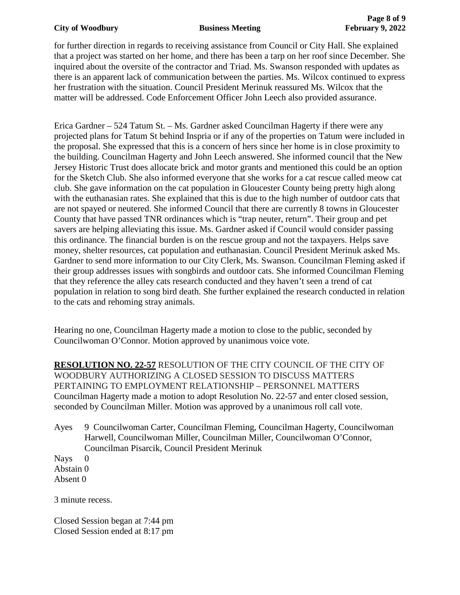for further direction in regards to receiving assistance from Council or City Hall. She explained that a project was started on her home, and there has been a tarp on her roof since December. She inquired about the oversite of the contractor and Triad. Ms. Swanson responded with updates as there is an apparent lack of communication between the parties. Ms. Wilcox continued to express her frustration with the situation. Council President Merinuk reassured Ms. Wilcox that the matter will be addressed. Code Enforcement Officer John Leech also provided assurance.

Erica Gardner – 524 Tatum St. – Ms. Gardner asked Councilman Hagerty if there were any projected plans for Tatum St behind Inspria or if any of the properties on Tatum were included in the proposal. She expressed that this is a concern of hers since her home is in close proximity to the building. Councilman Hagerty and John Leech answered. She informed council that the New Jersey Historic Trust does allocate brick and motor grants and mentioned this could be an option for the Sketch Club. She also informed everyone that she works for a cat rescue called meow cat club. She gave information on the cat population in Gloucester County being pretty high along with the euthanasian rates. She explained that this is due to the high number of outdoor cats that are not spayed or neutered. She informed Council that there are currently 8 towns in Gloucester County that have passed TNR ordinances which is "trap neuter, return". Their group and pet savers are helping alleviating this issue. Ms. Gardner asked if Council would consider passing this ordinance. The financial burden is on the rescue group and not the taxpayers. Helps save money, shelter resources, cat population and euthanasian. Council President Merinuk asked Ms. Gardner to send more information to our City Clerk, Ms. Swanson. Councilman Fleming asked if their group addresses issues with songbirds and outdoor cats. She informed Councilman Fleming that they reference the alley cats research conducted and they haven't seen a trend of cat population in relation to song bird death. She further explained the research conducted in relation to the cats and rehoming stray animals.

Hearing no one, Councilman Hagerty made a motion to close to the public, seconded by Councilwoman O'Connor. Motion approved by unanimous voice vote.

**RESOLUTION NO. 22-57** RESOLUTION OF THE CITY COUNCIL OF THE CITY OF WOODBURY AUTHORIZING A CLOSED SESSION TO DISCUSS MATTERS PERTAINING TO EMPLOYMENT RELATIONSHIP – PERSONNEL MATTERS Councilman Hagerty made a motion to adopt Resolution No. 22-57 and enter closed session, seconded by Councilman Miller. Motion was approved by a unanimous roll call vote.

Ayes 9 Councilwoman Carter, Councilman Fleming, Councilman Hagerty, Councilwoman Harwell, Councilwoman Miller, Councilman Miller, Councilwoman O'Connor, Councilman Pisarcik, Council President Merinuk

Nays 0 Abstain 0 Absent 0

3 minute recess.

Closed Session began at 7:44 pm Closed Session ended at 8:17 pm